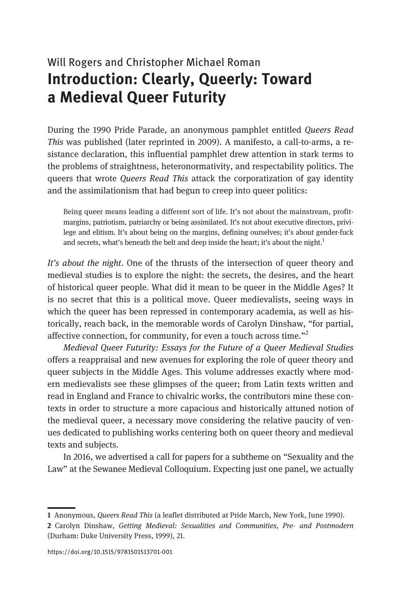## Will Rogers and Christopher Michael Roman Introduction: Clearly, Queerly: Toward a Medieval Queer Futurity

During the 1990 Pride Parade, an anonymous pamphlet entitled Queers Read This was published (later reprinted in 2009). A manifesto, a call-to-arms, a resistance declaration, this influential pamphlet drew attention in stark terms to the problems of straightness, heteronormativity, and respectability politics. The queers that wrote Queers Read This attack the corporatization of gay identity and the assimilationism that had begun to creep into queer politics:

Being queer means leading a different sort of life. It's not about the mainstream, profitmargins, patriotism, patriarchy or being assimilated. It's not about executive directors, privilege and elitism. It's about being on the margins, defining ourselves; it's about gender-fuck and secrets, what's beneath the belt and deep inside the heart; it's about the night.<sup>1</sup>

It's about the night. One of the thrusts of the intersection of queer theory and medieval studies is to explore the night: the secrets, the desires, and the heart of historical queer people. What did it mean to be queer in the Middle Ages? It is no secret that this is a political move. Queer medievalists, seeing ways in which the queer has been repressed in contemporary academia, as well as historically, reach back, in the memorable words of Carolyn Dinshaw, "for partial, affective connection, for community, for even a touch across time."<sup>2</sup>

Medieval Queer Futurity: Essays for the Future of a Queer Medieval Studies offers a reappraisal and new avenues for exploring the role of queer theory and queer subjects in the Middle Ages. This volume addresses exactly where modern medievalists see these glimpses of the queer; from Latin texts written and read in England and France to chivalric works, the contributors mine these contexts in order to structure a more capacious and historically attuned notion of the medieval queer, a necessary move considering the relative paucity of venues dedicated to publishing works centering both on queer theory and medieval texts and subjects.

In 2016, we advertised a call for papers for a subtheme on "Sexuality and the Law" at the Sewanee Medieval Colloquium. Expecting just one panel, we actually

<sup>1</sup> Anonymous, Queers Read This (a leaflet distributed at Pride March, New York, June 1990).

<sup>2</sup> Carolyn Dinshaw, Getting Medieval: Sexualities and Communities, Pre- and Postmodern (Durham: Duke University Press, 1999), 21.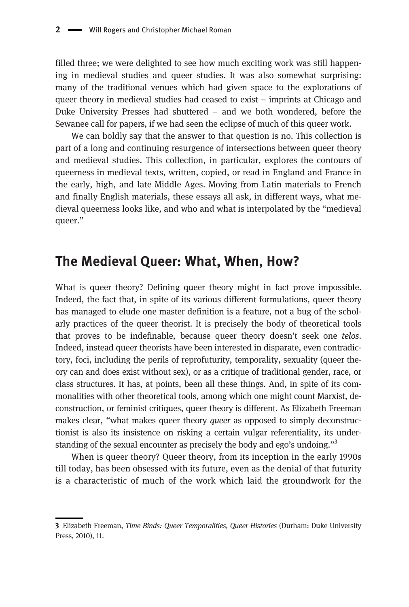filled three; we were delighted to see how much exciting work was still happening in medieval studies and queer studies. It was also somewhat surprising: many of the traditional venues which had given space to the explorations of queer theory in medieval studies had ceased to exist – imprints at Chicago and Duke University Presses had shuttered – and we both wondered, before the Sewanee call for papers, if we had seen the eclipse of much of this queer work.

We can boldly say that the answer to that question is no. This collection is part of a long and continuing resurgence of intersections between queer theory and medieval studies. This collection, in particular, explores the contours of queerness in medieval texts, written, copied, or read in England and France in the early, high, and late Middle Ages. Moving from Latin materials to French and finally English materials, these essays all ask, in different ways, what medieval queerness looks like, and who and what is interpolated by the "medieval queer."

## The Medieval Queer: What, When, How?

What is queer theory? Defining queer theory might in fact prove impossible. Indeed, the fact that, in spite of its various different formulations, queer theory has managed to elude one master definition is a feature, not a bug of the scholarly practices of the queer theorist. It is precisely the body of theoretical tools that proves to be indefinable, because queer theory doesn't seek one telos. Indeed, instead queer theorists have been interested in disparate, even contradictory, foci, including the perils of reprofuturity, temporality, sexuality (queer theory can and does exist without sex), or as a critique of traditional gender, race, or class structures. It has, at points, been all these things. And, in spite of its commonalities with other theoretical tools, among which one might count Marxist, deconstruction, or feminist critiques, queer theory is different. As Elizabeth Freeman makes clear, "what makes queer theory *queer* as opposed to simply deconstructionist is also its insistence on risking a certain vulgar referentiality, its understanding of the sexual encounter as precisely the body and ego's undoing."<sup>3</sup>

When is queer theory? Queer theory, from its inception in the early 1990s till today, has been obsessed with its future, even as the denial of that futurity is a characteristic of much of the work which laid the groundwork for the

<sup>3</sup> Elizabeth Freeman, Time Binds: Queer Temporalities, Queer Histories (Durham: Duke University Press, 2010), 11.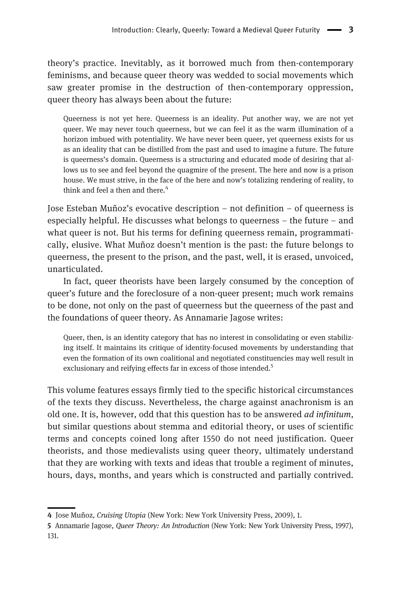theory's practice. Inevitably, as it borrowed much from then-contemporary feminisms, and because queer theory was wedded to social movements which saw greater promise in the destruction of then-contemporary oppression, queer theory has always been about the future:

Queerness is not yet here. Queerness is an ideality. Put another way, we are not yet queer. We may never touch queerness, but we can feel it as the warm illumination of a horizon imbued with potentiality. We have never been queer, yet queerness exists for us as an ideality that can be distilled from the past and used to imagine a future. The future is queerness's domain. Queerness is a structuring and educated mode of desiring that allows us to see and feel beyond the quagmire of the present. The here and now is a prison house. We must strive, in the face of the here and now's totalizing rendering of reality, to think and feel a then and there.<sup>4</sup>

Jose Esteban Muñoz's evocative description – not definition – of queerness is especially helpful. He discusses what belongs to queerness – the future – and what queer is not. But his terms for defining queerness remain, programmatically, elusive. What Muñoz doesn't mention is the past: the future belongs to queerness, the present to the prison, and the past, well, it is erased, unvoiced, unarticulated.

In fact, queer theorists have been largely consumed by the conception of queer's future and the foreclosure of a non-queer present; much work remains to be done, not only on the past of queerness but the queerness of the past and the foundations of queer theory. As Annamarie Jagose writes:

Queer, then, is an identity category that has no interest in consolidating or even stabilizing itself. It maintains its critique of identity-focused movements by understanding that even the formation of its own coalitional and negotiated constituencies may well result in exclusionary and reifying effects far in excess of those intended.<sup>5</sup>

This volume features essays firmly tied to the specific historical circumstances of the texts they discuss. Nevertheless, the charge against anachronism is an old one. It is, however, odd that this question has to be answered *ad infinitum*, but similar questions about stemma and editorial theory, or uses of scientific terms and concepts coined long after 1550 do not need justification. Queer theorists, and those medievalists using queer theory, ultimately understand that they are working with texts and ideas that trouble a regiment of minutes, hours, days, months, and years which is constructed and partially contrived.

<sup>4</sup> Jose Muñoz, Cruising Utopia (New York: New York University Press, 2009), 1.

<sup>5</sup> Annamarie Jagose, Queer Theory: An Introduction (New York: New York University Press, 1997), 131.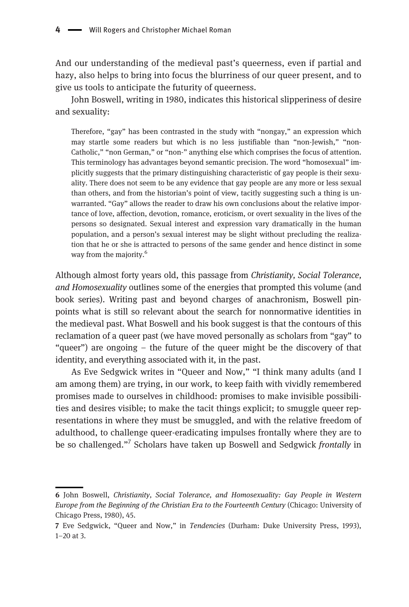And our understanding of the medieval past's queerness, even if partial and hazy, also helps to bring into focus the blurriness of our queer present, and to give us tools to anticipate the futurity of queerness.

John Boswell, writing in 1980, indicates this historical slipperiness of desire and sexuality:

Therefore, "gay" has been contrasted in the study with "nongay," an expression which may startle some readers but which is no less justifiable than "non-Jewish," "non-Catholic," "non German," or "non-" anything else which comprises the focus of attention. This terminology has advantages beyond semantic precision. The word "homosexual" implicitly suggests that the primary distinguishing characteristic of gay people is their sexuality. There does not seem to be any evidence that gay people are any more or less sexual than others, and from the historian's point of view, tacitly suggesting such a thing is unwarranted. "Gay" allows the reader to draw his own conclusions about the relative importance of love, affection, devotion, romance, eroticism, or overt sexuality in the lives of the persons so designated. Sexual interest and expression vary dramatically in the human population, and a person's sexual interest may be slight without precluding the realization that he or she is attracted to persons of the same gender and hence distinct in some way from the majority.<sup>6</sup>

Although almost forty years old, this passage from Christianity, Social Tolerance, and Homosexuality outlines some of the energies that prompted this volume (and book series). Writing past and beyond charges of anachronism, Boswell pinpoints what is still so relevant about the search for nonnormative identities in the medieval past. What Boswell and his book suggest is that the contours of this reclamation of a queer past (we have moved personally as scholars from "gay" to "queer") are ongoing – the future of the queer might be the discovery of that identity, and everything associated with it, in the past.

As Eve Sedgwick writes in "Queer and Now," "I think many adults (and I am among them) are trying, in our work, to keep faith with vividly remembered promises made to ourselves in childhood: promises to make invisible possibilities and desires visible; to make the tacit things explicit; to smuggle queer representations in where they must be smuggled, and with the relative freedom of adulthood, to challenge queer-eradicating impulses frontally where they are to be so challenged."<sup>7</sup> Scholars have taken up Boswell and Sedgwick frontally in

<sup>6</sup> John Boswell, Christianity, Social Tolerance, and Homosexuality: Gay People in Western Europe from the Beginning of the Christian Era to the Fourteenth Century (Chicago: University of Chicago Press, 1980), 45.

<sup>7</sup> Eve Sedgwick, "Queer and Now," in Tendencies (Durham: Duke University Press, 1993), 1–20 at 3.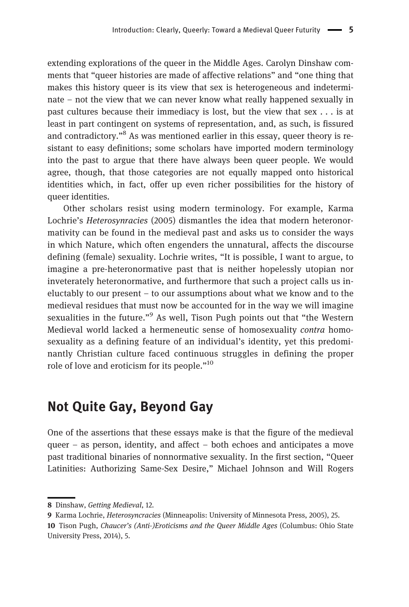extending explorations of the queer in the Middle Ages. Carolyn Dinshaw comments that "queer histories are made of affective relations" and "one thing that makes this history queer is its view that sex is heterogeneous and indeterminate – not the view that we can never know what really happened sexually in past cultures because their immediacy is lost, but the view that sex . . . is at least in part contingent on systems of representation, and, as such, is fissured and contradictory."<sup>8</sup> As was mentioned earlier in this essay, queer theory is resistant to easy definitions; some scholars have imported modern terminology into the past to argue that there have always been queer people. We would agree, though, that those categories are not equally mapped onto historical identities which, in fact, offer up even richer possibilities for the history of queer identities.

Other scholars resist using modern terminology. For example, Karma Lochrie's Heterosynracies (2005) dismantles the idea that modern heteronormativity can be found in the medieval past and asks us to consider the ways in which Nature, which often engenders the unnatural, affects the discourse defining (female) sexuality. Lochrie writes, "It is possible, I want to argue, to imagine a pre-heteronormative past that is neither hopelessly utopian nor inveterately heteronormative, and furthermore that such a project calls us ineluctably to our present – to our assumptions about what we know and to the medieval residues that must now be accounted for in the way we will imagine sexualities in the future."<sup>9</sup> As well, Tison Pugh points out that "the Western Medieval world lacked a hermeneutic sense of homosexuality contra homosexuality as a defining feature of an individual's identity, yet this predominantly Christian culture faced continuous struggles in defining the proper role of love and eroticism for its people."<sup>10</sup>

## Not Quite Gay, Beyond Gay

One of the assertions that these essays make is that the figure of the medieval queer – as person, identity, and affect – both echoes and anticipates a move past traditional binaries of nonnormative sexuality. In the first section, "Queer Latinities: Authorizing Same-Sex Desire," Michael Johnson and Will Rogers

<sup>8</sup> Dinshaw, Getting Medieval, 12.

<sup>9</sup> Karma Lochrie, Heterosyncracies (Minneapolis: University of Minnesota Press, 2005), 25.

<sup>10</sup> Tison Pugh, Chaucer's (Anti-)Eroticisms and the Queer Middle Ages (Columbus: Ohio State University Press, 2014), 5.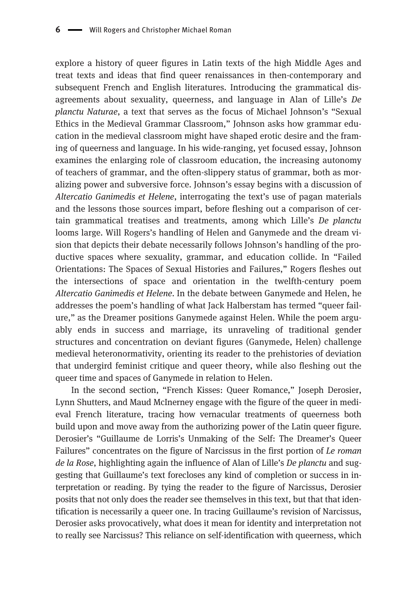explore a history of queer figures in Latin texts of the high Middle Ages and treat texts and ideas that find queer renaissances in then-contemporary and subsequent French and English literatures. Introducing the grammatical disagreements about sexuality, queerness, and language in Alan of Lille's De planctu Naturae, a text that serves as the focus of Michael Johnson's "Sexual Ethics in the Medieval Grammar Classroom," Johnson asks how grammar education in the medieval classroom might have shaped erotic desire and the framing of queerness and language. In his wide-ranging, yet focused essay, Johnson examines the enlarging role of classroom education, the increasing autonomy of teachers of grammar, and the often-slippery status of grammar, both as moralizing power and subversive force. Johnson's essay begins with a discussion of Altercatio Ganimedis et Helene, interrogating the text's use of pagan materials and the lessons those sources impart, before fleshing out a comparison of certain grammatical treatises and treatments, among which Lille's De planctu looms large. Will Rogers's handling of Helen and Ganymede and the dream vision that depicts their debate necessarily follows Johnson's handling of the productive spaces where sexuality, grammar, and education collide. In "Failed Orientations: The Spaces of Sexual Histories and Failures," Rogers fleshes out the intersections of space and orientation in the twelfth-century poem Altercatio Ganimedis et Helene. In the debate between Ganymede and Helen, he addresses the poem's handling of what Jack Halberstam has termed "queer failure," as the Dreamer positions Ganymede against Helen. While the poem arguably ends in success and marriage, its unraveling of traditional gender structures and concentration on deviant figures (Ganymede, Helen) challenge medieval heteronormativity, orienting its reader to the prehistories of deviation that undergird feminist critique and queer theory, while also fleshing out the queer time and spaces of Ganymede in relation to Helen.

In the second section, "French Kisses: Queer Romance," Joseph Derosier, Lynn Shutters, and Maud McInerney engage with the figure of the queer in medieval French literature, tracing how vernacular treatments of queerness both build upon and move away from the authorizing power of the Latin queer figure. Derosier's "Guillaume de Lorris's Unmaking of the Self: The Dreamer's Queer Failures" concentrates on the figure of Narcissus in the first portion of Le roman de la Rose, highlighting again the influence of Alan of Lille's *De planctu* and suggesting that Guillaume's text forecloses any kind of completion or success in interpretation or reading. By tying the reader to the figure of Narcissus, Derosier posits that not only does the reader see themselves in this text, but that that identification is necessarily a queer one. In tracing Guillaume's revision of Narcissus, Derosier asks provocatively, what does it mean for identity and interpretation not to really see Narcissus? This reliance on self-identification with queerness, which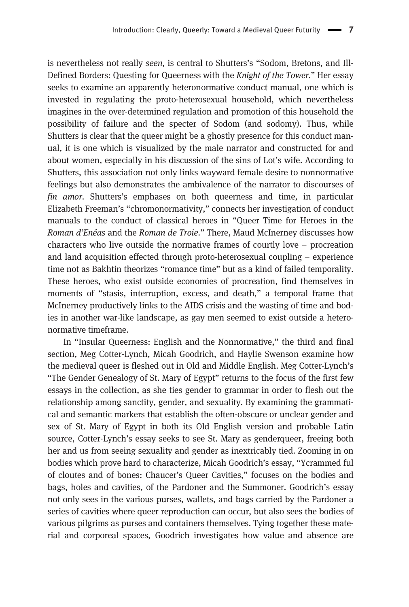is nevertheless not really seen, is central to Shutters's "Sodom, Bretons, and Ill-Defined Borders: Questing for Queerness with the Knight of the Tower." Her essay seeks to examine an apparently heteronormative conduct manual, one which is invested in regulating the proto-heterosexual household, which nevertheless imagines in the over-determined regulation and promotion of this household the possibility of failure and the specter of Sodom (and sodomy). Thus, while Shutters is clear that the queer might be a ghostly presence for this conduct manual, it is one which is visualized by the male narrator and constructed for and about women, especially in his discussion of the sins of Lot's wife. According to Shutters, this association not only links wayward female desire to nonnormative feelings but also demonstrates the ambivalence of the narrator to discourses of fin amor. Shutters's emphases on both queerness and time, in particular Elizabeth Freeman's "chromonormativity," connects her investigation of conduct manuals to the conduct of classical heroes in "Queer Time for Heroes in the Roman d'Enéas and the Roman de Troie." There, Maud McInerney discusses how characters who live outside the normative frames of courtly love – procreation and land acquisition effected through proto-heterosexual coupling – experience time not as Bakhtin theorizes "romance time" but as a kind of failed temporality. These heroes, who exist outside economies of procreation, find themselves in moments of "stasis, interruption, excess, and death," a temporal frame that McInerney productively links to the AIDS crisis and the wasting of time and bodies in another war-like landscape, as gay men seemed to exist outside a heteronormative timeframe.

In "Insular Queerness: English and the Nonnormative," the third and final section, Meg Cotter-Lynch, Micah Goodrich, and Haylie Swenson examine how the medieval queer is fleshed out in Old and Middle English. Meg Cotter-Lynch's "The Gender Genealogy of St. Mary of Egypt" returns to the focus of the first few essays in the collection, as she ties gender to grammar in order to flesh out the relationship among sanctity, gender, and sexuality. By examining the grammatical and semantic markers that establish the often-obscure or unclear gender and sex of St. Mary of Egypt in both its Old English version and probable Latin source, Cotter-Lynch's essay seeks to see St. Mary as genderqueer, freeing both her and us from seeing sexuality and gender as inextricably tied. Zooming in on bodies which prove hard to characterize, Micah Goodrich's essay, "Ycrammed ful of cloutes and of bones: Chaucer's Queer Cavities," focuses on the bodies and bags, holes and cavities, of the Pardoner and the Summoner. Goodrich's essay not only sees in the various purses, wallets, and bags carried by the Pardoner a series of cavities where queer reproduction can occur, but also sees the bodies of various pilgrims as purses and containers themselves. Tying together these material and corporeal spaces, Goodrich investigates how value and absence are